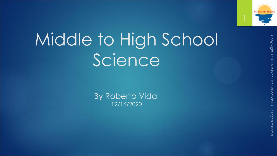

# Middle to High School Science

By Roberto Vidal 12/16/2020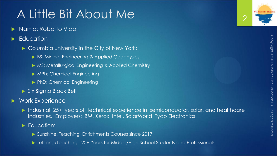### A Little Bit About Me

- Name: Roberto Vidal
- Education
	- ▶ Columbia University in the City of New York:
		- BS: Mining Engineering & Applied Geophysics
		- ▶ MS: Metallurgical Engineering & Applied Chemistry
		- MPh: Chemical Engineering
		- **PhD: Chemical Engineering**
	- Six Sigma Black Belt

#### Work Experience

- Industrial: 25+ years of technical experience in semiconductor, solar, and healthcare industries. Employers: IBM, Xerox, Intel, SolarWorld, Tyco Electronics
- Education:
	- ▶ Sunshine: Teaching Enrichments Courses since 2017
	- ▶ Tutoring/Teaching: 20+ Years for Middle/High School Students and Professionals.

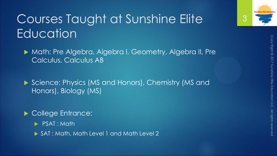

### Courses Taught at Sunshine Elite **Education**

▶ Math: Pre Algebra, Algebra I, Geometry, Algebra II, Pre Calculus, Calculus AB

▶ Science: Physics (MS and Honors), Chemistry (MS and Honors), Biology (MS)

College Entrance:

PSAT : Math

▶ SAT : Math, Math Level 1 and Math Level 2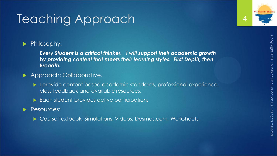### Teaching Approach

### Philosophy:

*Every Student is a critical thinker. I will support their academic growth by providing content that meets their learning styles. First Depth, then Breadth.*

#### Approach: Collaborative.

- I provide content based academic standards, professional experience, class feedback and available resources.
- Each student provides active participation.

#### Resources:

▶ Course Textbook, Simulations, Videos, Desmos.com, Worksheets



4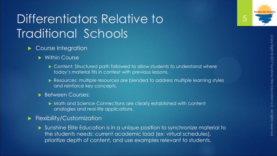## Differentiators Relative to Traditional Schools

- Course Integration
	- **Nithin Course** 
		- ▶ Content: Structured path followed to allow students to understand where today's material fits in context with previous lessons.
		- Resources: multiple resources are blended to address multiple learning styles and reinforce key concepts.
	- Between Courses:
		- Math and Science Connections are clearly established with content analogies and real-life applications.
- **Flexibility/Customization** 
	- Sunshine Elite Education is in a unique position to synchronize material to the students needs: current academic load (ex: virtual schedules), prioritize depth of content, and use examples relevant to students.



5